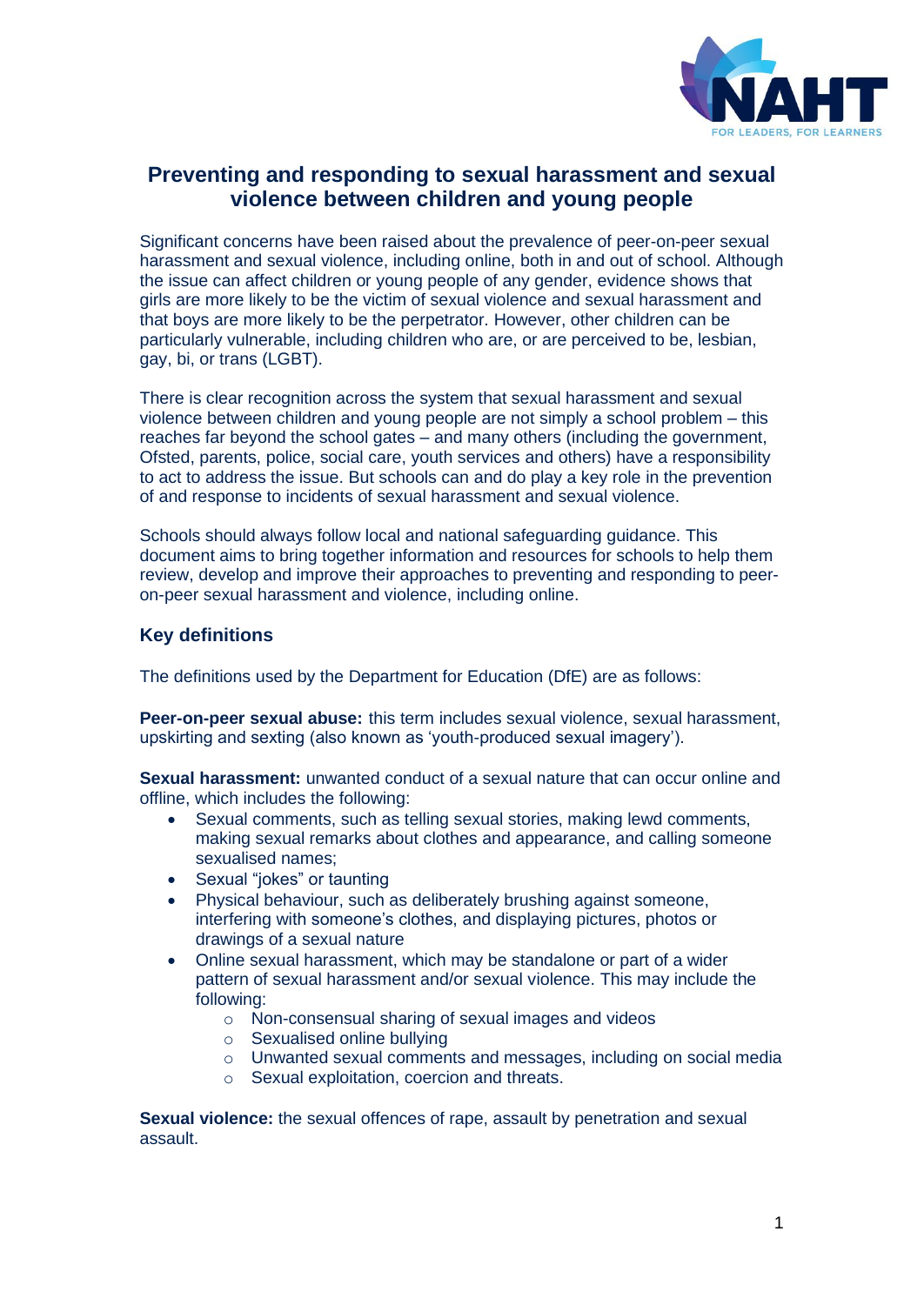

# **Preventing and responding to sexual harassment and sexual violence between children and young people**

Significant concerns have been raised about the prevalence of peer-on-peer sexual harassment and sexual violence, including online, both in and out of school. Although the issue can affect children or young people of any gender, evidence shows that girls are more likely to be the victim of sexual violence and sexual harassment and that boys are more likely to be the perpetrator. However, other children can be particularly vulnerable, including children who are, or are perceived to be, lesbian, gay, bi, or trans (LGBT).

There is clear recognition across the system that sexual harassment and sexual violence between children and young people are not simply a school problem – this reaches far beyond the school gates – and many others (including the government, Ofsted, parents, police, social care, youth services and others) have a responsibility to act to address the issue. But schools can and do play a key role in the prevention of and response to incidents of sexual harassment and sexual violence.

Schools should always follow local and national safeguarding guidance. This document aims to bring together information and resources for schools to help them review, develop and improve their approaches to preventing and responding to peeron-peer sexual harassment and violence, including online.

## **Key definitions**

The definitions used by the Department for Education (DfE) are as follows:

**Peer-on-peer sexual abuse:** this term includes sexual violence, sexual harassment, upskirting and sexting (also known as 'youth-produced sexual imagery').

**Sexual harassment:** unwanted conduct of a sexual nature that can occur online and offline, which includes the following:

- Sexual comments, such as telling sexual stories, making lewd comments, making sexual remarks about clothes and appearance, and calling someone sexualised names;
- Sexual "jokes" or taunting
- Physical behaviour, such as deliberately brushing against someone, interfering with someone's clothes, and displaying pictures, photos or drawings of a sexual nature
- Online sexual harassment, which may be standalone or part of a wider pattern of sexual harassment and/or sexual violence. This may include the following:
	- o Non-consensual sharing of sexual images and videos
	- o Sexualised online bullying
	- o Unwanted sexual comments and messages, including on social media
	- o Sexual exploitation, coercion and threats.

**Sexual violence:** the sexual offences of rape, assault by penetration and sexual assault.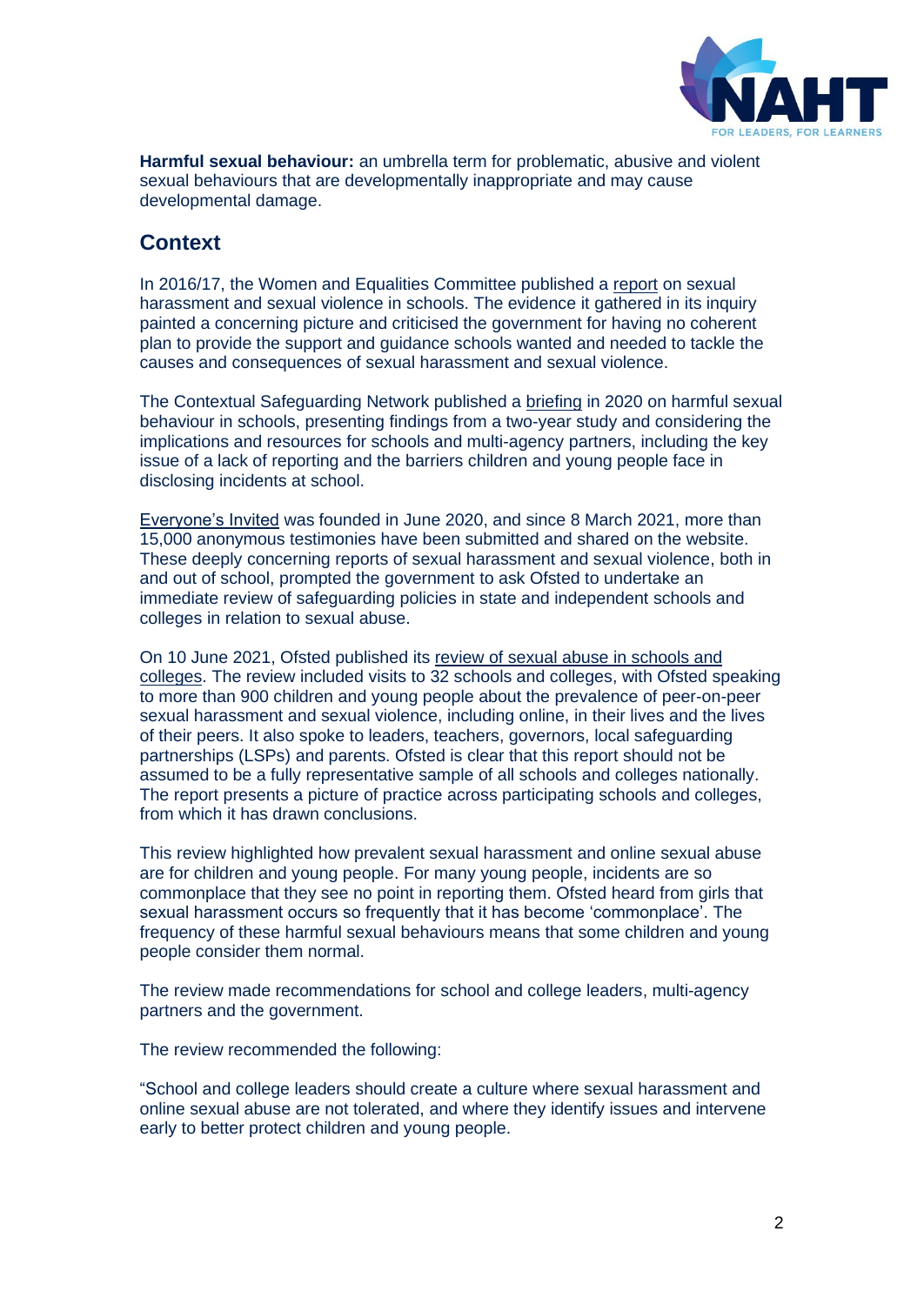

**Harmful sexual behaviour:** an umbrella term for problematic, abusive and violent sexual behaviours that are developmentally inappropriate and may cause developmental damage.

## **Context**

In 2016/17, the Women and Equalities Committee published a [report](https://publications.parliament.uk/pa/cm201617/cmselect/cmwomeq/91/91.pdf) on sexual harassment and sexual violence in schools. The evidence it gathered in its inquiry painted a concerning picture and criticised the government for having no coherent plan to provide the support and guidance schools wanted and needed to tackle the causes and consequences of sexual harassment and sexual violence.

The Contextual Safeguarding Network published a [briefing](https://www.csnetwork.org.uk/assets/documents/Beyond-Referrals-Two-Harmful-Sexual-Behaviour-in-Schools.pdf) in 2020 on harmful sexual behaviour in schools, presenting findings from a two-year study and considering the implications and resources for schools and multi-agency partners, including the key issue of a lack of reporting and the barriers children and young people face in disclosing incidents at school.

[Everyone's Invited](https://www.everyonesinvited.uk/about) was founded in June 2020, and since 8 March 2021, more than 15,000 anonymous testimonies have been submitted and shared on the website. These deeply concerning reports of sexual harassment and sexual violence, both in and out of school, prompted the government to ask Ofsted to undertake an immediate review of safeguarding policies in state and independent schools and colleges in relation to sexual abuse.

On 10 June 2021, Ofsted published its review [of sexual abuse in schools and](https://www.gov.uk/government/publications/review-of-sexual-abuse-in-schools-and-colleges/review-of-sexual-abuse-in-schools-and-colleges)  [colleges.](https://www.gov.uk/government/publications/review-of-sexual-abuse-in-schools-and-colleges/review-of-sexual-abuse-in-schools-and-colleges) The review included visits to 32 schools and colleges, with Ofsted speaking to more than 900 children and young people about the prevalence of peer-on-peer sexual harassment and sexual violence, including online, in their lives and the lives of their peers. It also spoke to leaders, teachers, governors, local safeguarding partnerships (LSPs) and parents. Ofsted is clear that this report should not be assumed to be a fully representative sample of all schools and colleges nationally. The report presents a picture of practice across participating schools and colleges, from which it has drawn conclusions.

This review highlighted how prevalent sexual harassment and online sexual abuse are for children and young people. For many young people, incidents are so commonplace that they see no point in reporting them. Ofsted heard from girls that sexual harassment occurs so frequently that it has become 'commonplace'. The frequency of these harmful sexual behaviours means that some children and young people consider them normal.

The review made recommendations for school and college leaders, multi-agency partners and the government.

The review recommended the following:

"School and college leaders should create a culture where sexual harassment and online sexual abuse are not tolerated, and where they identify issues and intervene early to better protect children and young people.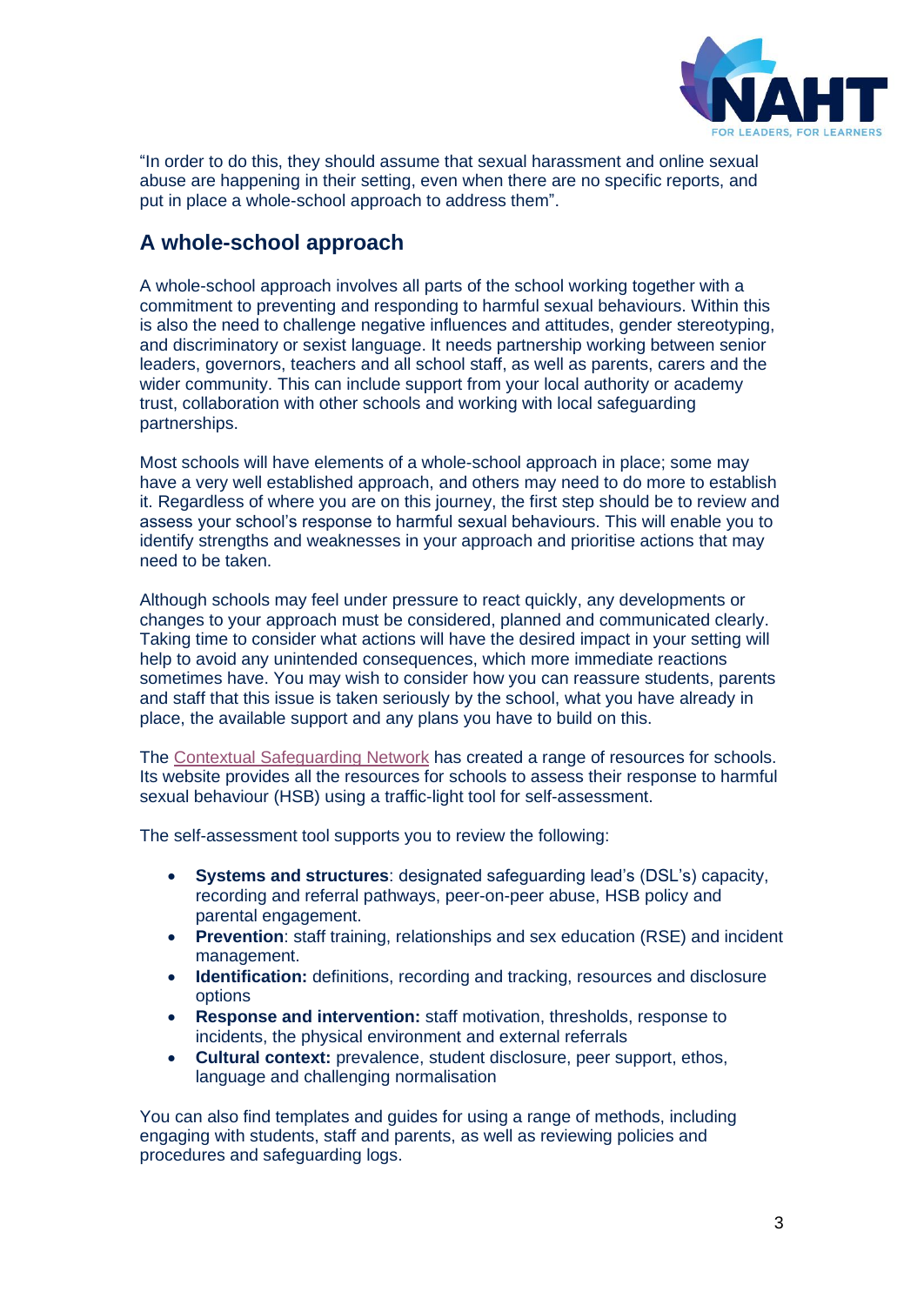

"In order to do this, they should assume that sexual harassment and online sexual abuse are happening in their setting, even when there are no specific reports, and put in place a whole-school approach to address them".

# **A whole-school approach**

A whole-school approach involves all parts of the school working together with a commitment to preventing and responding to harmful sexual behaviours. Within this is also the need to challenge negative influences and attitudes, gender stereotyping, and discriminatory or sexist language. It needs partnership working between senior leaders, governors, teachers and all school staff, as well as parents, carers and the wider community. This can include support from your local authority or academy trust, collaboration with other schools and working with local safeguarding partnerships.

Most schools will have elements of a whole-school approach in place; some may have a very well established approach, and others may need to do more to establish it. Regardless of where you are on this journey, the first step should be to review and assess your school's response to harmful sexual behaviours. This will enable you to identify strengths and weaknesses in your approach and prioritise actions that may need to be taken.

Although schools may feel under pressure to react quickly, any developments or changes to your approach must be considered, planned and communicated clearly. Taking time to consider what actions will have the desired impact in your setting will help to avoid any unintended consequences, which more immediate reactions sometimes have. You may wish to consider how you can reassure students, parents and staff that this issue is taken seriously by the school, what you have already in place, the available support and any plans you have to build on this.

The [Contextual Safeguarding Network](https://www.csnetwork.org.uk/en/beyond-referrals-levers-for-addressing-harmful-sexual-behaviour-in-schools) has created a range of resources for schools. Its website provides all the resources for schools to assess their response to harmful sexual behaviour (HSB) using a traffic-light tool for self-assessment.

The self-assessment tool supports you to review the following:

- **Systems and structures**: designated safeguarding lead's (DSL's) capacity, recording and referral pathways, peer-on-peer abuse, HSB policy and parental engagement.
- **Prevention**: staff training, relationships and sex education (RSE) and incident management.
- **Identification:** definitions, recording and tracking, resources and disclosure options
- **Response and intervention:** staff motivation, thresholds, response to incidents, the physical environment and external referrals
- **Cultural context:** prevalence, student disclosure, peer support, ethos, language and challenging normalisation

You can also find templates and guides for using a range of methods, including engaging with students, staff and parents, as well as reviewing policies and procedures and safeguarding logs.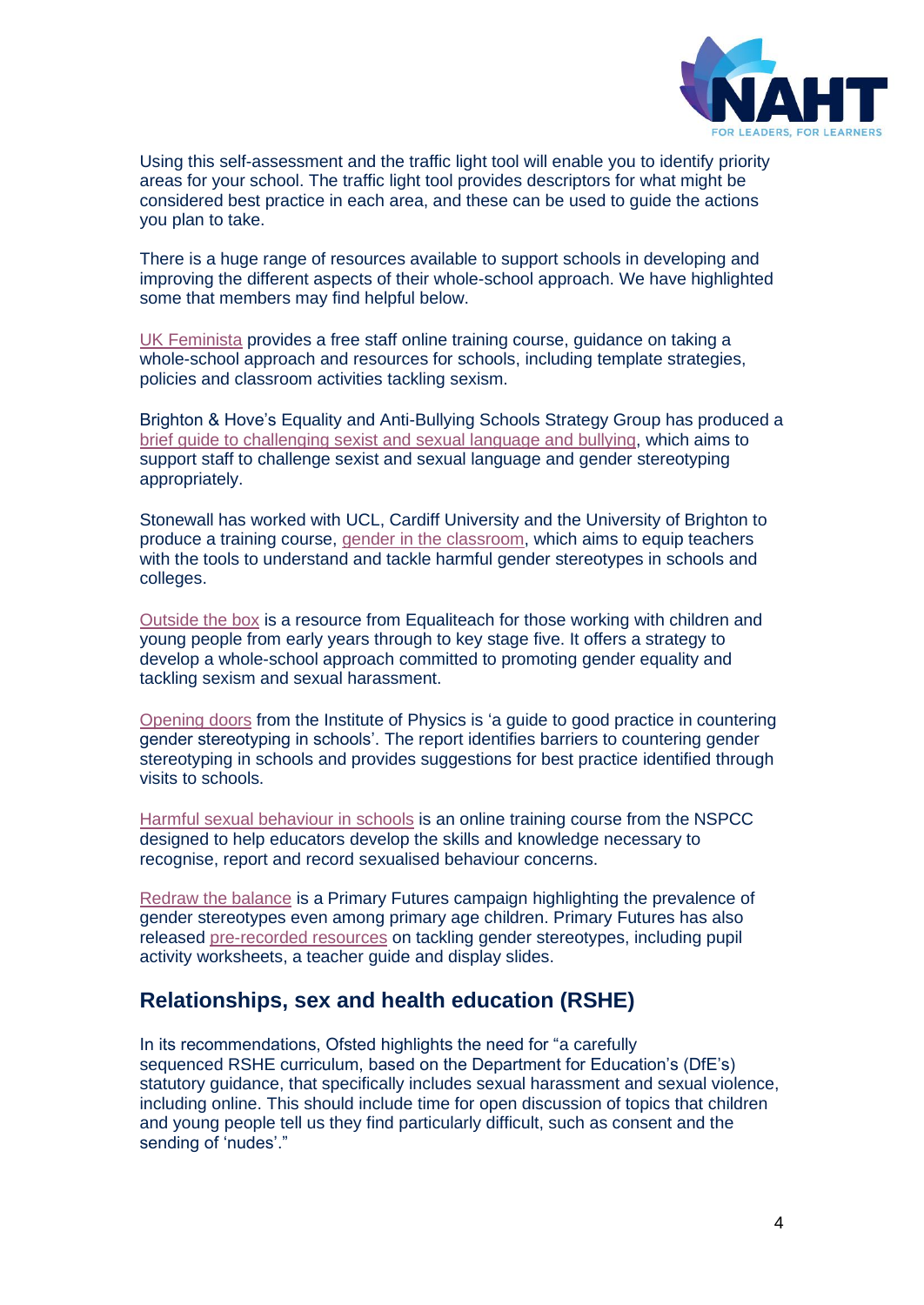

Using this self-assessment and the traffic light tool will enable you to identify priority areas for your school. The traffic light tool provides descriptors for what might be considered best practice in each area, and these can be used to guide the actions you plan to take.

There is a huge range of resources available to support schools in developing and improving the different aspects of their whole-school approach. We have highlighted some that members may find helpful below.

[UK Feminista](https://ukfeminista.org.uk/resources-hub/) provides a free staff online training course, guidance on taking a whole-school approach and resources for schools, including template strategies, policies and classroom activities tackling sexism.

Brighton & Hove's Equality and Anti-Bullying Schools Strategy Group has produced a [brief guide to challenging sexist and sexual language and bullying,](http://brightonandhovelscb.org.uk/wp-content/uploads/Challenging_sexist_language.pdf) which aims to support staff to challenge sexist and sexual language and gender stereotyping appropriately.

Stonewall has worked with UCL, Cardiff University and the University of Brighton to produce a training course, [gender in the classroom,](https://www.stonewall.org.uk/gender-classroom) which aims to equip teachers with the tools to understand and tackle harmful gender stereotypes in schools and colleges.

[Outside the box](https://equaliteach.co.uk/education/classroom-resources/outside-the-box/) is a resource from Equaliteach for those working with children and young people from early years through to key stage five. It offers a strategy to develop a whole-school approach committed to promoting gender equality and tackling sexism and sexual harassment.

[Opening doors](https://www.iop.org/sites/default/files/2019-02/opening-doors-countering-stereotyping.pdf) from the Institute of Physics is 'a guide to good practice in countering gender stereotyping in schools'. The report identifies barriers to countering gender stereotyping in schools and provides suggestions for best practice identified through visits to schools.

[Harmful sexual behaviour in schools](https://learning.nspcc.org.uk/training/harmful-sexual-behaviour-hsb-schools) is an online training course from the NSPCC designed to help educators develop the skills and knowledge necessary to recognise, report and record sexualised behaviour concerns.

[Redraw the balance](https://primaryfutures.org/campaigns/redraw/) is a Primary Futures campaign highlighting the prevalence of gender stereotypes even among primary age children. Primary Futures has also released [pre-recorded resources](https://primaryfutures.org/new-pre-recorded-resources-tackling-gender-stereotypes/) on tackling gender stereotypes, including pupil activity worksheets, a teacher guide and display slides.

## **Relationships, sex and health education (RSHE)**

In its recommendations, Ofsted highlights the need for "a carefully sequenced RSHE curriculum, based on the Department for Education's (DfE's) statutory guidance, that specifically includes sexual harassment and sexual violence, including online. This should include time for open discussion of topics that children and young people tell us they find particularly difficult, such as consent and the sending of 'nudes'."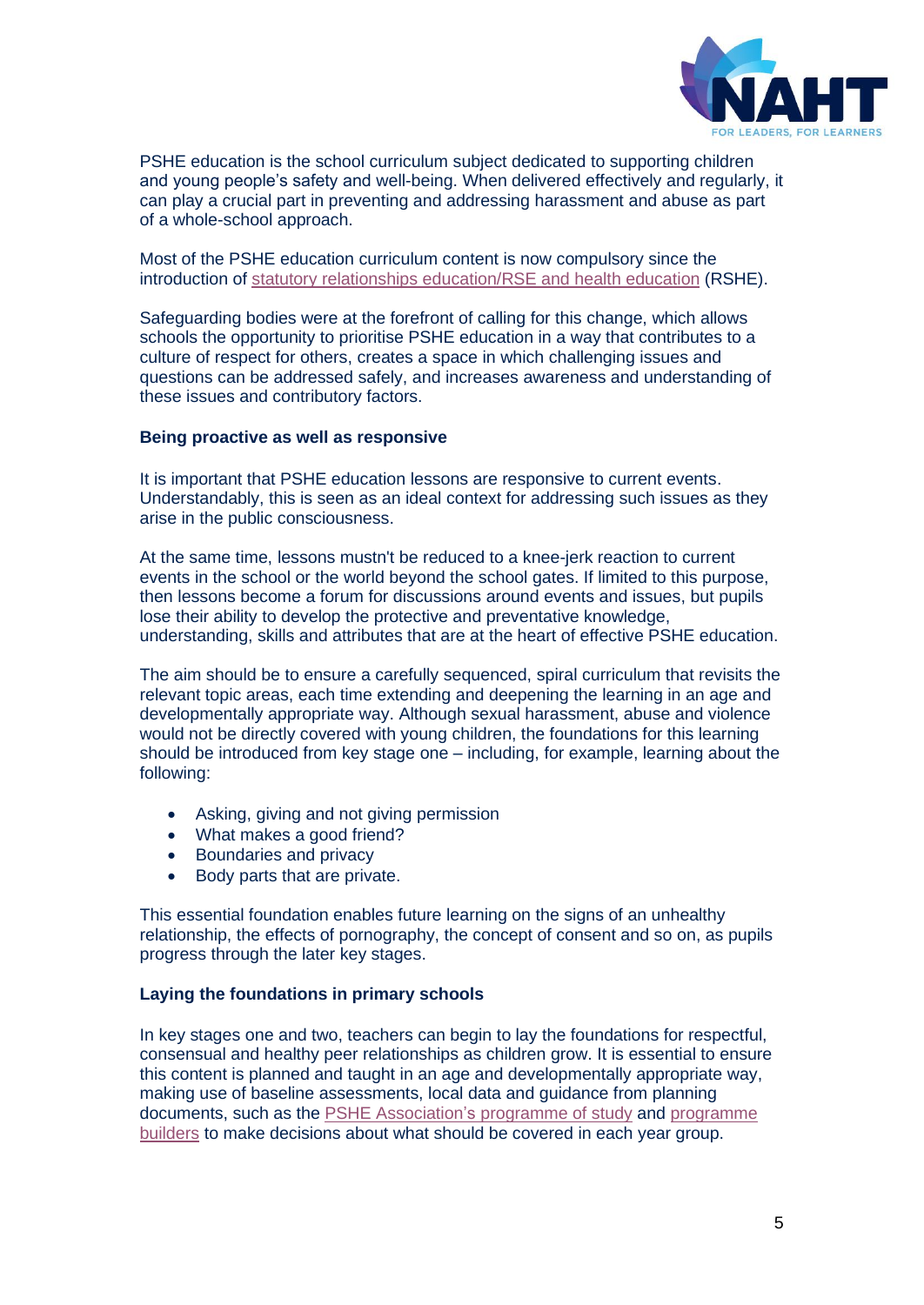

PSHE education is the school curriculum subject dedicated to supporting children and young people's safety and well-being. When delivered effectively and regularly, it can play a crucial part in preventing and addressing harassment and abuse as part of a whole-school approach.

Most of the PSHE education curriculum content is now compulsory since the introduction of [statutory relationships education/RSE and health education](https://assets.publishing.service.gov.uk/government/uploads/system/uploads/attachment_data/file/908013/Relationships_Education__Relationships_and_Sex_Education__RSE__and_Health_Education.pdf) (RSHE).

Safeguarding bodies were at the forefront of calling for this change, which allows schools the opportunity to prioritise PSHE education in a way that contributes to a culture of respect for others, creates a space in which challenging issues and questions can be addressed safely, and increases awareness and understanding of these issues and contributory factors.

#### **Being proactive as well as responsive**

It is important that PSHE education lessons are responsive to current events. Understandably, this is seen as an ideal context for addressing such issues as they arise in the public consciousness.

At the same time, lessons mustn't be reduced to a knee-jerk reaction to current events in the school or the world beyond the school gates. If limited to this purpose, then lessons become a forum for discussions around events and issues, but pupils lose their ability to develop the protective and preventative knowledge, understanding, skills and attributes that are at the heart of effective PSHE education.

The aim should be to ensure a carefully sequenced, spiral curriculum that revisits the relevant topic areas, each time extending and deepening the learning in an age and developmentally appropriate way. Although sexual harassment, abuse and violence would not be directly covered with young children, the foundations for this learning should be introduced from key stage one – including, for example, learning about the following:

- Asking, giving and not giving permission
- What makes a good friend?
- Boundaries and privacy
- Body parts that are private.

This essential foundation enables future learning on the signs of an unhealthy relationship, the effects of pornography, the concept of consent and so on, as pupils progress through the later key stages.

#### **Laying the foundations in primary schools**

In key stages one and two, teachers can begin to lay the foundations for respectful, consensual and healthy peer relationships as children grow. It is essential to ensure this content is planned and taught in an age and developmentally appropriate way, making use of baseline assessments, local data and guidance from planning documents, such as the [PSHE Association's](https://www.pshe-association.org.uk/curriculum-and-resources/resources/programme-study-pshe-education-key-stages-1%E2%80%935) programme of study and [programme](https://www.pshe-association.org.uk/curriculum-and-resources/resources/programme-builders-pshe-education-ks1-4)  [builders](https://www.pshe-association.org.uk/curriculum-and-resources/resources/programme-builders-pshe-education-ks1-4) to make decisions about what should be covered in each year group.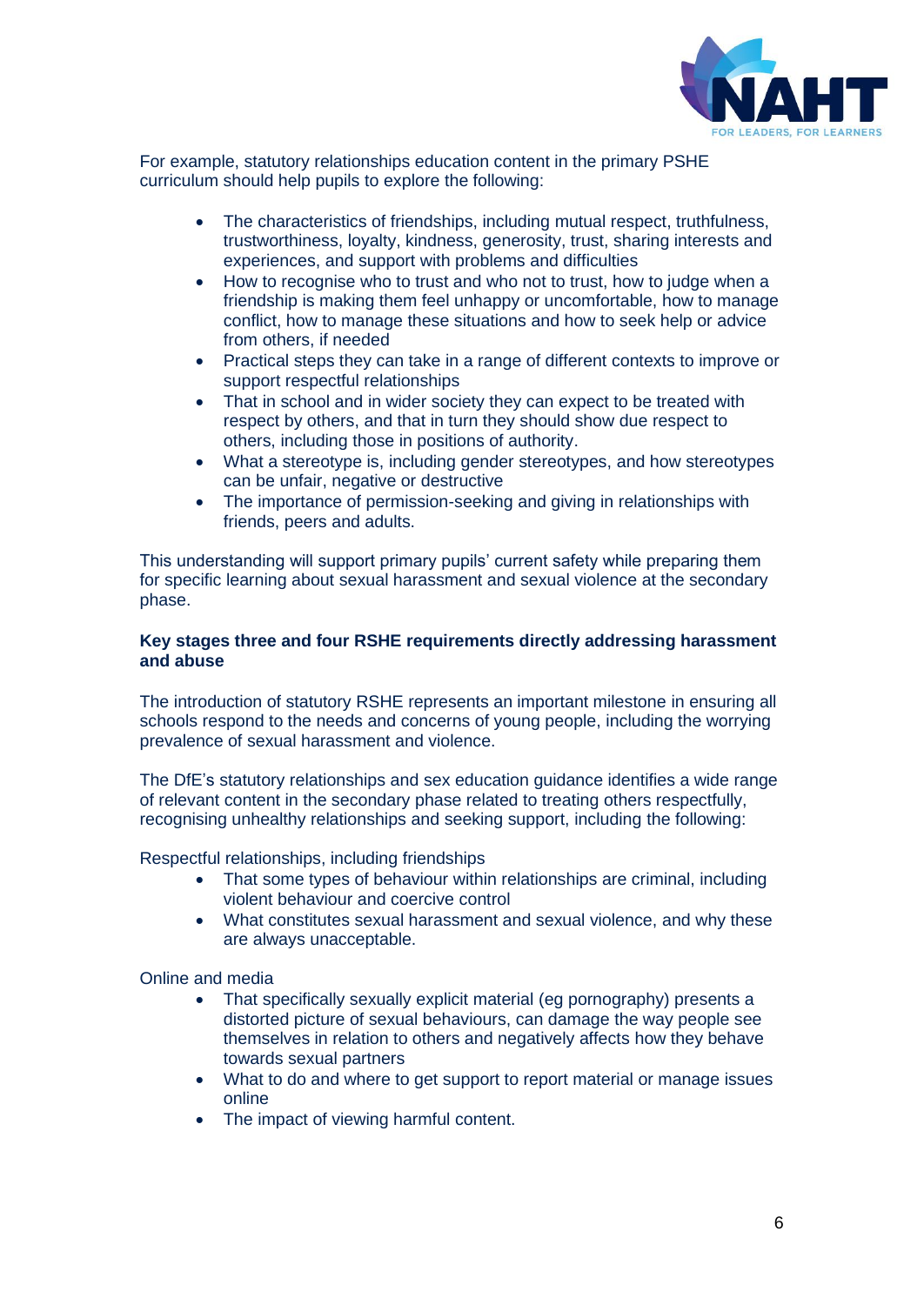

For example, statutory relationships education content in the primary PSHE curriculum should help pupils to explore the following:

- The characteristics of friendships, including mutual respect, truthfulness, trustworthiness, loyalty, kindness, generosity, trust, sharing interests and experiences, and support with problems and difficulties
- How to recognise who to trust and who not to trust, how to judge when a friendship is making them feel unhappy or uncomfortable, how to manage conflict, how to manage these situations and how to seek help or advice from others, if needed
- Practical steps they can take in a range of different contexts to improve or support respectful relationships
- That in school and in wider society they can expect to be treated with respect by others, and that in turn they should show due respect to others, including those in positions of authority.
- What a stereotype is, including gender stereotypes, and how stereotypes can be unfair, negative or destructive
- The importance of permission-seeking and giving in relationships with friends, peers and adults.

This understanding will support primary pupils' current safety while preparing them for specific learning about sexual harassment and sexual violence at the secondary phase.

### **Key stages three and four RSHE requirements directly addressing harassment and abuse**

The introduction of statutory RSHE represents an important milestone in ensuring all schools respond to the needs and concerns of young people, including the worrying prevalence of sexual harassment and violence.

The DfE's statutory relationships and sex education guidance identifies a wide range of relevant content in the secondary phase related to treating others respectfully, recognising unhealthy relationships and seeking support, including the following:

Respectful relationships, including friendships

- That some types of behaviour within relationships are criminal, including violent behaviour and coercive control
- What constitutes sexual harassment and sexual violence, and why these are always unacceptable.

## Online and media

- That specifically sexually explicit material (eg pornography) presents a distorted picture of sexual behaviours, can damage the way people see themselves in relation to others and negatively affects how they behave towards sexual partners
- What to do and where to get support to report material or manage issues online
- The impact of viewing harmful content.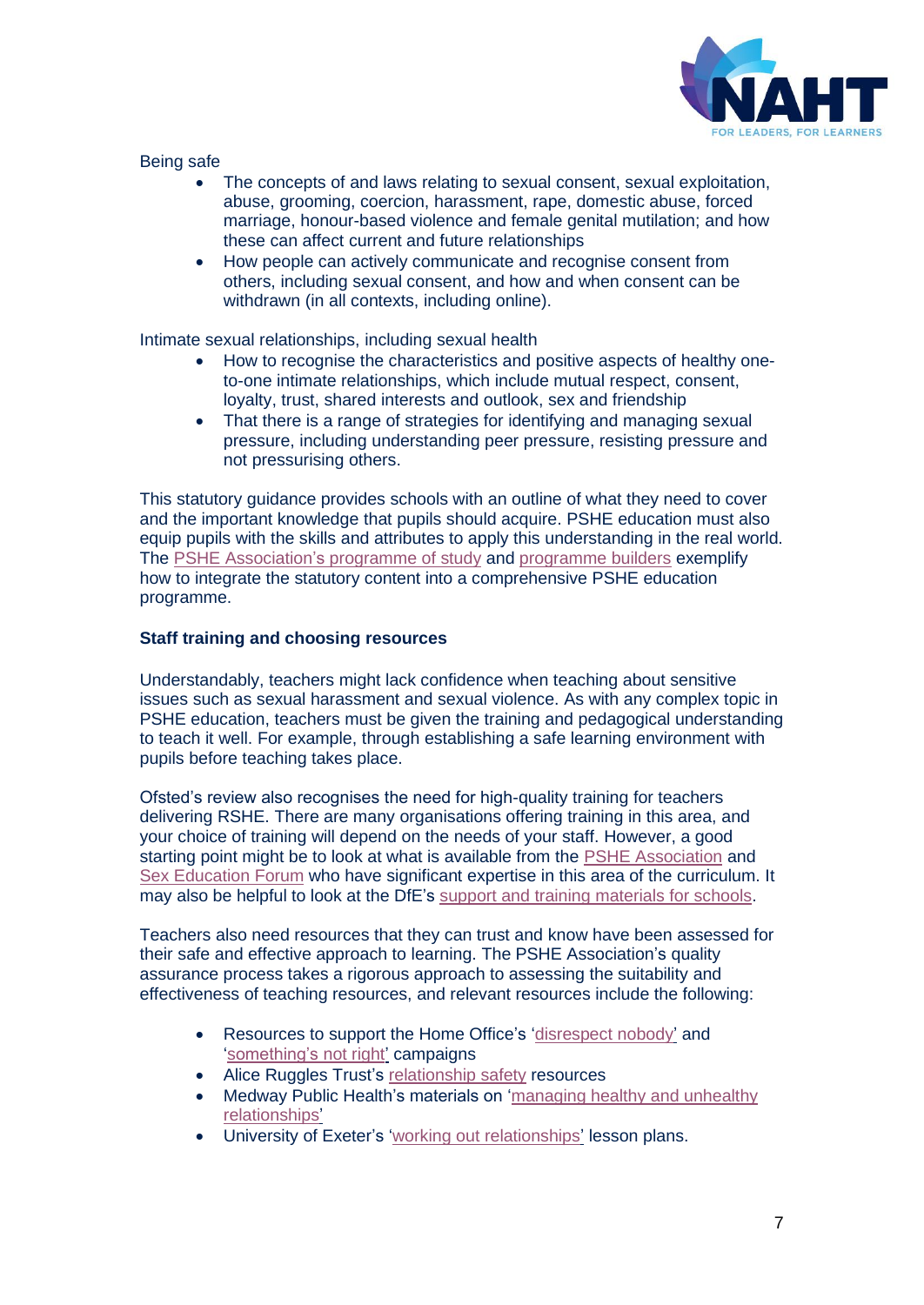

Being safe

- The concepts of and laws relating to sexual consent, sexual exploitation, abuse, grooming, coercion, harassment, rape, domestic abuse, forced marriage, honour-based violence and female genital mutilation; and how these can affect current and future relationships
- How people can actively communicate and recognise consent from others, including sexual consent, and how and when consent can be withdrawn (in all contexts, including online).

Intimate sexual relationships, including sexual health

- How to recognise the characteristics and positive aspects of healthy oneto-one intimate relationships, which include mutual respect, consent, loyalty, trust, shared interests and outlook, sex and friendship
- That there is a range of strategies for identifying and managing sexual pressure, including understanding peer pressure, resisting pressure and not pressurising others.

This statutory guidance provides schools with an outline of what they need to cover and the important knowledge that pupils should acquire. PSHE education must also equip pupils with the skills and attributes to apply this understanding in the real world. The [PSHE Association's](https://www.pshe-association.org.uk/curriculum-and-resources/resources/programme-study-pshe-education-key-stages-1%E2%80%935) programme of study and [programme builders](https://www.pshe-association.org.uk/curriculum-and-resources/resources/programme-builders-pshe-education-ks1-4) exemplify how to integrate the statutory content into a comprehensive PSHE education programme.

## **Staff training and choosing resources**

Understandably, teachers might lack confidence when teaching about sensitive issues such as sexual harassment and sexual violence. As with any complex topic in PSHE education, teachers must be given the training and pedagogical understanding to teach it well. For example, through establishing a safe learning environment with pupils before teaching takes place.

Ofsted's review also recognises the need for high-quality training for teachers delivering RSHE. There are many organisations offering training in this area, and your choice of training will depend on the needs of your staff. However, a good starting point might be to look at what is available from the [PSHE Association](https://www.pshe-association.org.uk/cpd-and-training) and [Sex Education Forum](https://www.sexeducationforum.org.uk/training-and-consultancy) who have significant expertise in this area of the curriculum. It may also be helpful to look at the DfE's [support and training materials for schools.](https://www.gov.uk/guidance/teaching-about-relationships-sex-and-health)

Teachers also need resources that they can trust and know have been assessed for their safe and effective approach to learning. The PSHE Association's quality assurance process takes a rigorous approach to assessing the suitability and effectiveness of teaching resources, and relevant resources include the following:

- Resources to support the Home Office's ['disrespect nobody'](https://www.pshe-association.org.uk/curriculum-and-resources/resources/disrespect-nobody-teaching-resources-preventing) and ['something's not right'](https://www.pshe-association.org.uk/curriculum-and-resources/resources/home-office-somethings-not-right-abuse-disclosure) campaigns
- Alice Ruggles Trust's [relationship safety](https://www.pshe-association.org.uk/curriculum-and-resources/resources/alice-ruggles-trust-relationship-safety-resource-0) resources
- Medway Public Health's materials on ['managing healthy and unhealthy](https://www.pshe-association.org.uk/curriculum-and-resources/resources/medway-public-health-directorate-managing-healthy)  [relationships'](https://www.pshe-association.org.uk/curriculum-and-resources/resources/medway-public-health-directorate-managing-healthy)
- University of Exeter's ['working out relationships'](https://www.pshe-association.org.uk/curriculum-and-resources/resources/working-out-relationships-ks4-lesson-plans) lesson plans.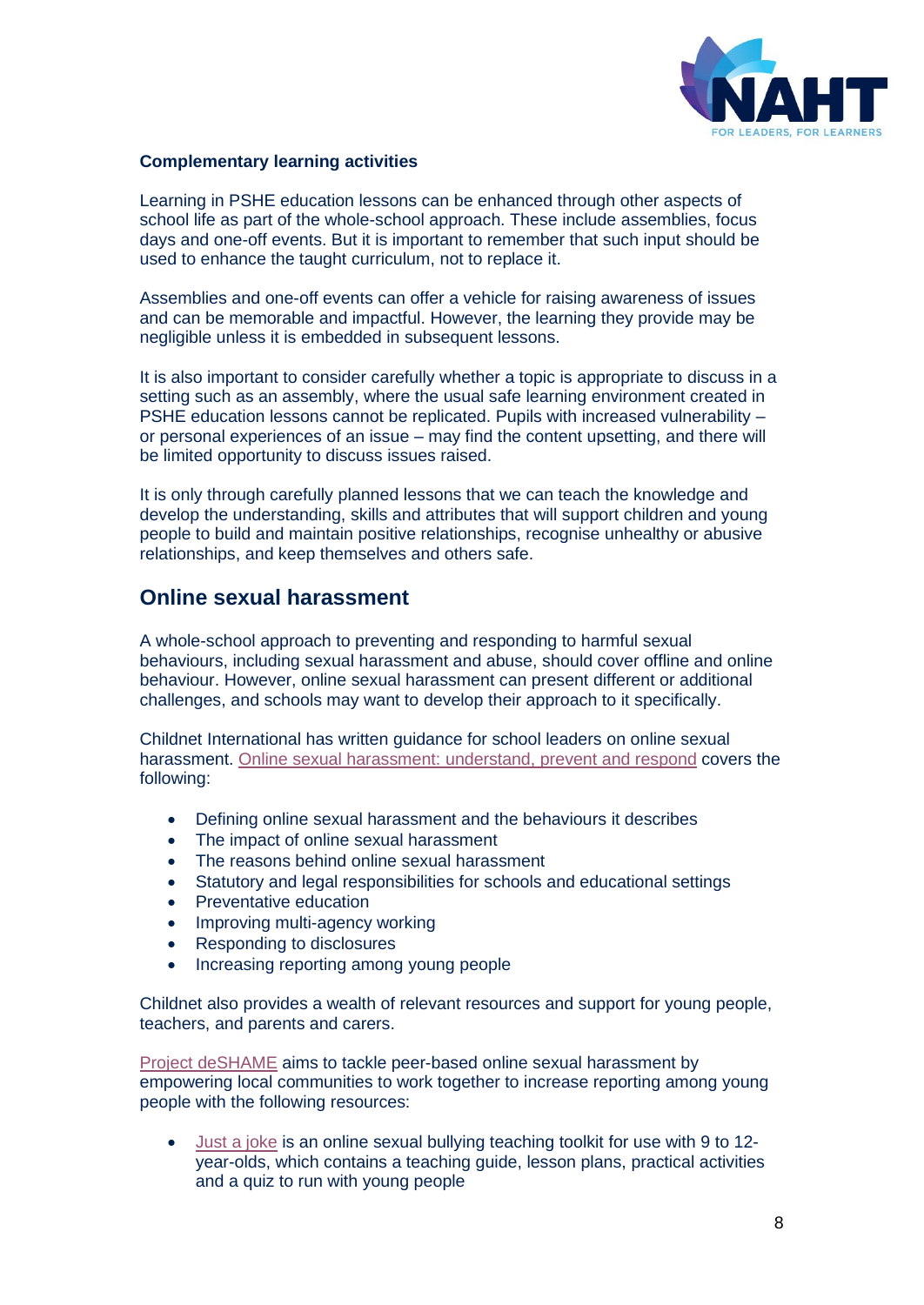

### **Complementary learning activities**

Learning in PSHE education lessons can be enhanced through other aspects of school life as part of the whole-school approach. These include assemblies, focus days and one-off events. But it is important to remember that such input should be used to enhance the taught curriculum, not to replace it.

Assemblies and one-off events can offer a vehicle for raising awareness of issues and can be memorable and impactful. However, the learning they provide may be negligible unless it is embedded in subsequent lessons.

It is also important to consider carefully whether a topic is appropriate to discuss in a setting such as an assembly, where the usual safe learning environment created in PSHE education lessons cannot be replicated. Pupils with increased vulnerability – or personal experiences of an issue – may find the content upsetting, and there will be limited opportunity to discuss issues raised.

It is only through carefully planned lessons that we can teach the knowledge and develop the understanding, skills and attributes that will support children and young people to build and maintain positive relationships, recognise unhealthy or abusive relationships, and keep themselves and others safe.

## **Online sexual harassment**

A whole-school approach to preventing and responding to harmful sexual behaviours, including sexual harassment and abuse, should cover offline and online behaviour. However, online sexual harassment can present different or additional challenges, and schools may want to develop their approach to it specifically.

Childnet International has written guidance for school leaders on online sexual harassment. [Online sexual harassment: understand, prevent and respond](https://www.childnet.com/ufiles/Guidance_for_Schools_Online_Sexual_Harassment.pdf) covers the following:

- Defining online sexual harassment and the behaviours it describes
- The impact of online sexual harassment
- The reasons behind online sexual harassment
- Statutory and legal responsibilities for schools and educational settings
- Preventative education
- Improving multi-agency working
- Responding to disclosures
- Increasing reporting among young people

Childnet also provides a wealth of relevant resources and support for young people, teachers, and parents and carers.

[Project deSHAME](https://www.childnet.com/our-projects/project-deshame) aims to tackle peer-based online sexual harassment by empowering local communities to work together to increase reporting among young people with the following resources:

• [Just a joke](https://www.childnet.com/resources/just-a-joke?utm_medium=email&utm_campaign=Project%20deSHAME%20Launch%20Event%20-%20April%201st&utm_content=Project%20deSHAME%20Launch%20Event%20-%20April%201st+CID_3d2990a742e78943754ab5dca0e07fda&utm_source=Campaign%20Monitor&utm_term=Click%20here) is an online sexual bullying teaching toolkit for use with 9 to 12 year-olds, which contains a teaching guide, lesson plans, practical activities and a quiz to run with young people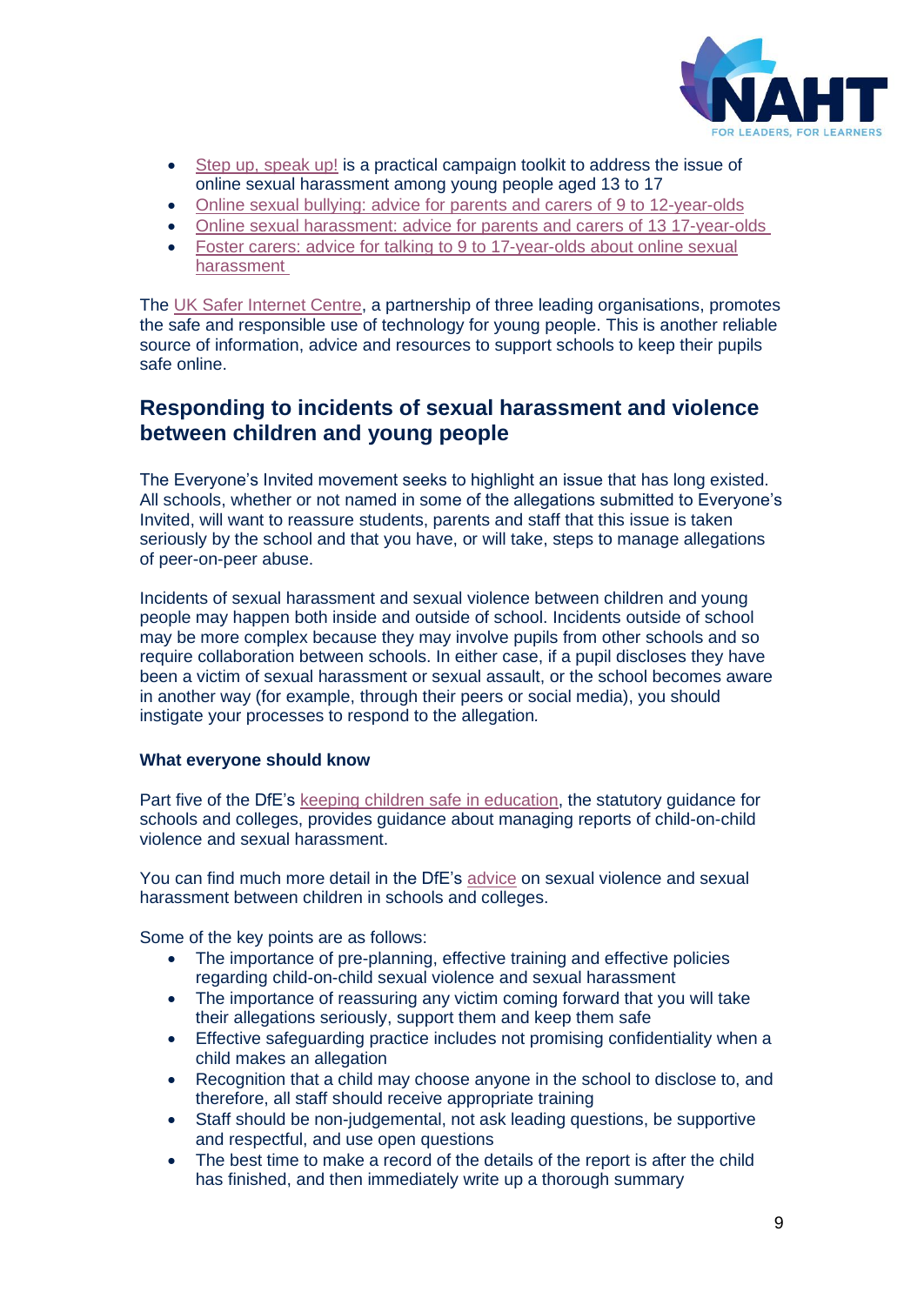

- [Step up, speak up!](https://www.childnet.com/resources/step-up-speak-up?utm_medium=email&utm_campaign=Project%20deSHAME%20Launch%20Event%20-%20April%201st&utm_content=Project%20deSHAME%20Launch%20Event%20-%20April%201st+CID_3d2990a742e78943754ab5dca0e07fda&utm_source=Campaign%20Monitor&utm_term=Step%20Up%20Speak%20Up%20toolkit) is a practical campaign toolkit to address the issue of online sexual harassment among young people aged 13 to 17
- [Online sexual bullying: advice for parents and carers of 9](https://www.childnet.com/resources/online-sexual-bullying-advice-for-parents-and-carers-of-9-12-year-olds) to 12-year-olds
- [Online sexual harassment: advice for parents and carers of 13](https://www.childnet.com/resources/online-sexual-harassment-advice-for-parents-and-carers-of-13-17-year-olds) 17-year-olds
- [Foster carers: advice for talking to 9](https://www.childnet.com/resources/online-sexual-harassment-advice-for-foster-carers) to 17-year-olds about online sexual [harassment](https://www.childnet.com/resources/online-sexual-harassment-advice-for-foster-carers)

The [UK Safer Internet Centre,](https://www.saferinternet.org.uk/advice-centre/teachers-and-school-staff) a partnership of three leading organisations, promotes the safe and responsible use of technology for young people. This is another reliable source of information, advice and resources to support schools to keep their pupils safe online.

# **Responding to incidents of sexual harassment and violence between children and young people**

The Everyone's Invited movement seeks to highlight an issue that has long existed. All schools, whether or not named in some of the allegations submitted to Everyone's Invited, will want to reassure students, parents and staff that this issue is taken seriously by the school and that you have, or will take, steps to manage allegations of peer-on-peer abuse.

Incidents of sexual harassment and sexual violence between children and young people may happen both inside and outside of school. Incidents outside of school may be more complex because they may involve pupils from other schools and so require collaboration between schools. In either case, if a pupil discloses they have been a victim of sexual harassment or sexual assault, or the school becomes aware in another way (for example, through their peers or social media), you should instigate your processes to respond to the allegation*.* 

## **What everyone should know**

Part five of the DfE's [keeping children safe in education,](https://www.gov.uk/government/publications/keeping-children-safe-in-education--2) the statutory guidance for schools and colleges, provides guidance about managing reports of child-on-child violence and sexual harassment.

You can find much more detail in the DfE's [advice](https://www.gov.uk/government/publications/sexual-violence-and-sexual-harassment-between-children-in-schools-and-colleges) on sexual violence and sexual harassment between children in schools and colleges.

Some of the key points are as follows:

- The importance of pre-planning, effective training and effective policies regarding child-on-child sexual violence and sexual harassment
- The importance of reassuring any victim coming forward that you will take their allegations seriously, support them and keep them safe
- Effective safeguarding practice includes not promising confidentiality when a child makes an allegation
- Recognition that a child may choose anyone in the school to disclose to, and therefore, all staff should receive appropriate training
- Staff should be non-judgemental, not ask leading questions, be supportive and respectful, and use open questions
- The best time to make a record of the details of the report is after the child has finished, and then immediately write up a thorough summary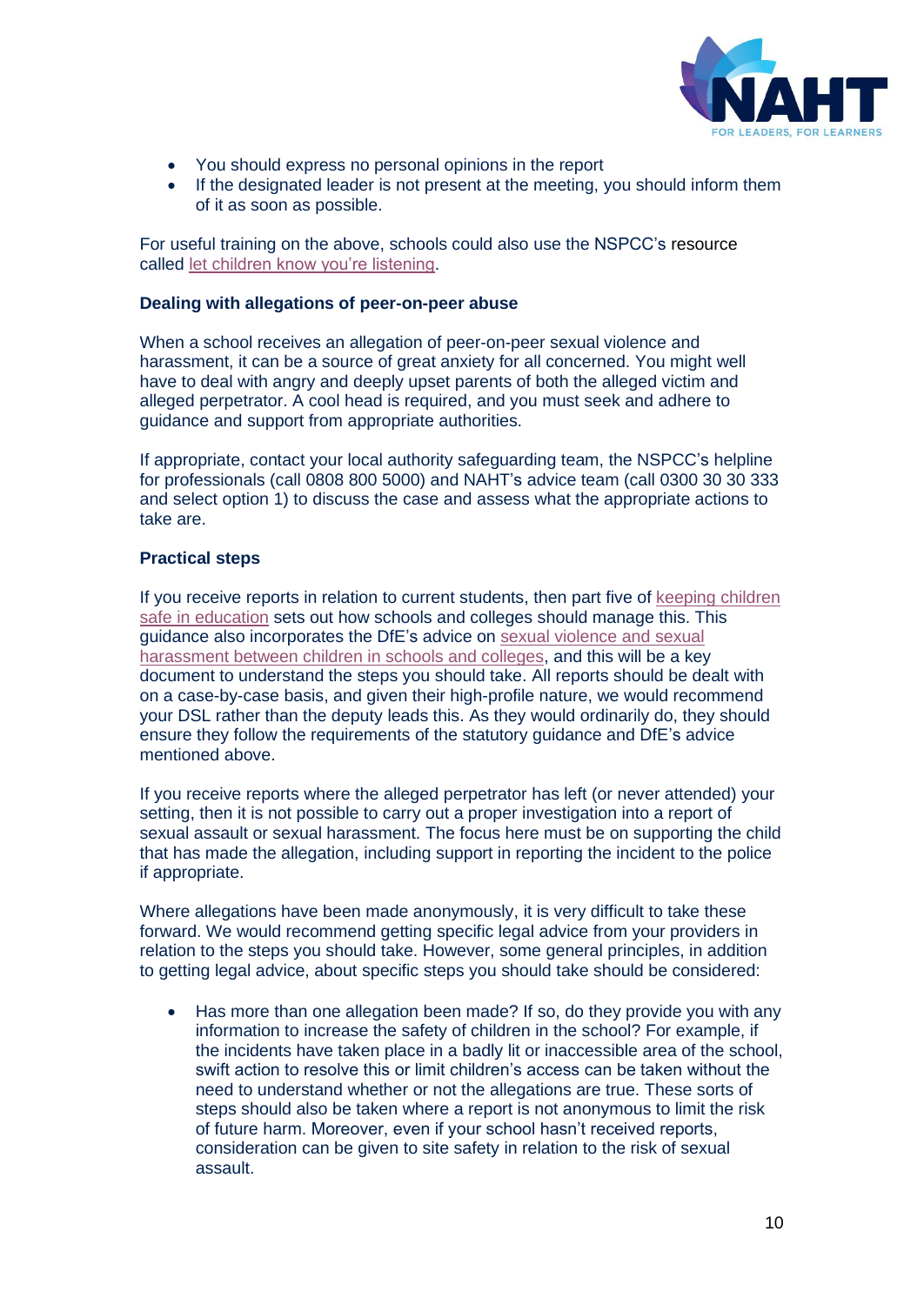

- You should express no personal opinions in the report
- If the designated leader is not present at the meeting, you should inform them of it as soon as possible.

For useful training on the above, schools could also use the NSPCC's resource called [let children know you're listening.](https://learning.nspcc.org.uk/research-resources/2019/let-children-know-you-re-listening)

#### **Dealing with allegations of peer-on-peer abuse**

When a school receives an allegation of peer-on-peer sexual violence and harassment, it can be a source of great anxiety for all concerned. You might well have to deal with angry and deeply upset parents of both the alleged victim and alleged perpetrator. A cool head is required, and you must seek and adhere to guidance and support from appropriate authorities.

If appropriate, contact your local authority safeguarding team, the NSPCC's helpline for professionals (call 0808 800 5000) and NAHT's advice team (call 0300 30 30 333 and select option 1) to discuss the case and assess what the appropriate actions to take are.

#### **Practical steps**

If you receive reports in relation to current students, then part five of [keeping children](https://www.gov.uk/government/publications/keeping-children-safe-in-education--2)  [safe in education](https://www.gov.uk/government/publications/keeping-children-safe-in-education--2) sets out how schools and colleges should manage this. This guidance also incorporates the DfE's advice on [sexual violence and sexual](https://www.gov.uk/government/publications/sexual-violence-and-sexual-harassment-between-children-in-schools-and-colleges)  [harassment between children in schools and colleges,](https://www.gov.uk/government/publications/sexual-violence-and-sexual-harassment-between-children-in-schools-and-colleges) and this will be a key document to understand the steps you should take. All reports should be dealt with on a case-by-case basis, and given their high-profile nature, we would recommend your DSL rather than the deputy leads this. As they would ordinarily do, they should ensure they follow the requirements of the statutory guidance and DfE's advice mentioned above.

If you receive reports where the alleged perpetrator has left (or never attended) your setting, then it is not possible to carry out a proper investigation into a report of sexual assault or sexual harassment. The focus here must be on supporting the child that has made the allegation, including support in reporting the incident to the police if appropriate.

Where allegations have been made anonymously, it is very difficult to take these forward. We would recommend getting specific legal advice from your providers in relation to the steps you should take. However, some general principles, in addition to getting legal advice, about specific steps you should take should be considered:

• Has more than one allegation been made? If so, do they provide you with any information to increase the safety of children in the school? For example, if the incidents have taken place in a badly lit or inaccessible area of the school, swift action to resolve this or limit children's access can be taken without the need to understand whether or not the allegations are true. These sorts of steps should also be taken where a report is not anonymous to limit the risk of future harm. Moreover, even if your school hasn't received reports, consideration can be given to site safety in relation to the risk of sexual assault.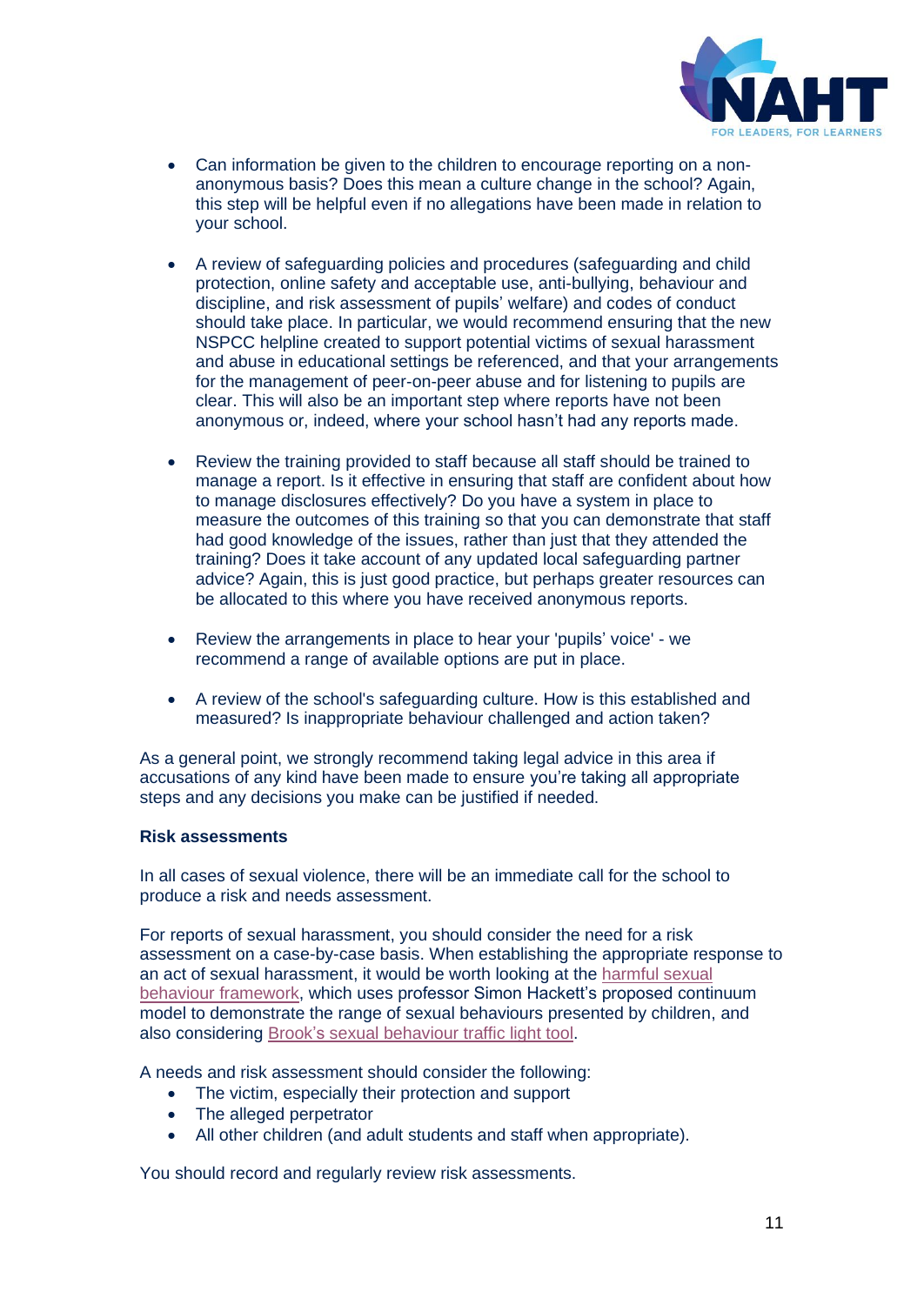

- Can information be given to the children to encourage reporting on a nonanonymous basis? Does this mean a culture change in the school? Again, this step will be helpful even if no allegations have been made in relation to your school.
- A review of safeguarding policies and procedures (safeguarding and child protection, online safety and acceptable use, anti-bullying, behaviour and discipline, and risk assessment of pupils' welfare) and codes of conduct should take place. In particular, we would recommend ensuring that the new NSPCC helpline created to support potential victims of sexual harassment and abuse in educational settings be referenced, and that your arrangements for the management of peer-on-peer abuse and for listening to pupils are clear. This will also be an important step where reports have not been anonymous or, indeed, where your school hasn't had any reports made.
- Review the training provided to staff because all staff should be trained to manage a report. Is it effective in ensuring that staff are confident about how to manage disclosures effectively? Do you have a system in place to measure the outcomes of this training so that you can demonstrate that staff had good knowledge of the issues, rather than just that they attended the training? Does it take account of any updated local safeguarding partner advice? Again, this is just good practice, but perhaps greater resources can be allocated to this where you have received anonymous reports.
- Review the arrangements in place to hear your 'pupils' voice' we recommend a range of available options are put in place.
- A review of the school's safeguarding culture. How is this established and measured? Is inappropriate behaviour challenged and action taken?

As a general point, we strongly recommend taking legal advice in this area if accusations of any kind have been made to ensure you're taking all appropriate steps and any decisions you make can be justified if needed.

#### **Risk assessments**

In all cases of sexual violence, there will be an immediate call for the school to produce a risk and needs assessment.

For reports of sexual harassment, you should consider the need for a risk assessment on a case-by-case basis. When establishing the appropriate response to an act of sexual harassment, it would be worth looking at the [harmful sexual](https://learning.nspcc.org.uk/research-resources/2019/harmful-sexual-behaviour-framework)  [behaviour framework,](https://learning.nspcc.org.uk/research-resources/2019/harmful-sexual-behaviour-framework) which uses professor Simon Hackett's proposed continuum model to demonstrate the range of sexual behaviours presented by children, and also considering Brook's [sexual behaviour traffic light tool.](https://www.brook.org.uk/training/wider-professional-training/sexual-behaviours-traffic-light-tool/)

A needs and risk assessment should consider the following:

- The victim, especially their protection and support
- The alleged perpetrator
- All other children (and adult students and staff when appropriate).

You should record and regularly review risk assessments.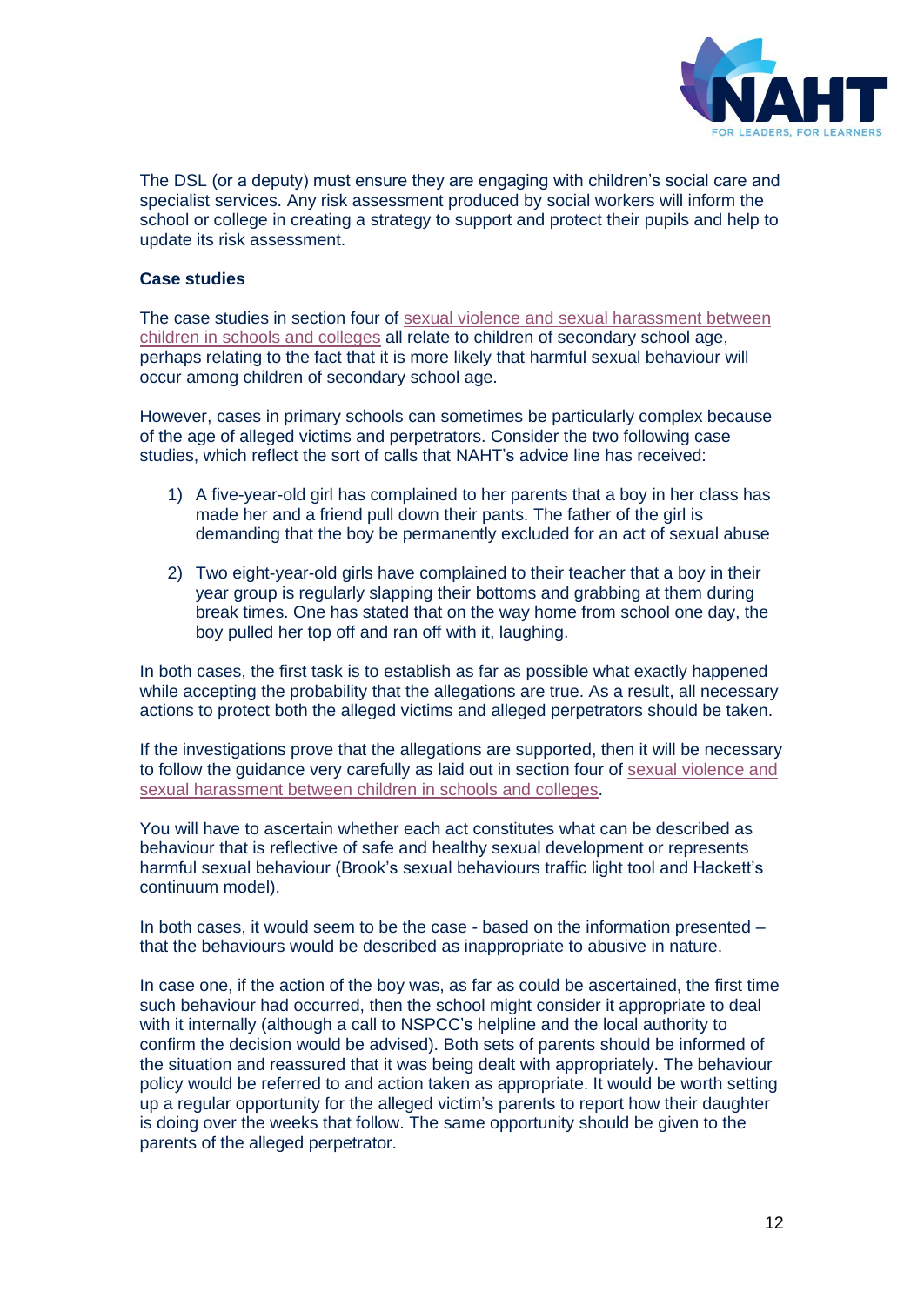

The DSL (or a deputy) must ensure they are engaging with children's social care and specialist services. Any risk assessment produced by social workers will inform the school or college in creating a strategy to support and protect their pupils and help to update its risk assessment.

#### **Case studies**

The case studies in section four of [sexual violence and sexual harassment between](https://www.gov.uk/government/publications/sexual-violence-and-sexual-harassment-between-children-in-schools-and-colleges)  [children in schools and colleges](https://www.gov.uk/government/publications/sexual-violence-and-sexual-harassment-between-children-in-schools-and-colleges) all relate to children of secondary school age, perhaps relating to the fact that it is more likely that harmful sexual behaviour will occur among children of secondary school age.

However, cases in primary schools can sometimes be particularly complex because of the age of alleged victims and perpetrators. Consider the two following case studies, which reflect the sort of calls that NAHT's advice line has received:

- 1) A five-year-old girl has complained to her parents that a boy in her class has made her and a friend pull down their pants. The father of the girl is demanding that the boy be permanently excluded for an act of sexual abuse
- 2) Two eight-year-old girls have complained to their teacher that a boy in their year group is regularly slapping their bottoms and grabbing at them during break times. One has stated that on the way home from school one day, the boy pulled her top off and ran off with it, laughing.

In both cases, the first task is to establish as far as possible what exactly happened while accepting the probability that the allegations are true. As a result, all necessary actions to protect both the alleged victims and alleged perpetrators should be taken.

If the investigations prove that the allegations are supported, then it will be necessary to follow the guidance very carefully as laid out in section four of [sexual violence and](https://www.gov.uk/government/publications/sexual-violence-and-sexual-harassment-between-children-in-schools-and-colleges)  [sexual harassment between children in schools and colleges.](https://www.gov.uk/government/publications/sexual-violence-and-sexual-harassment-between-children-in-schools-and-colleges)

You will have to ascertain whether each act constitutes what can be described as behaviour that is reflective of safe and healthy sexual development or represents harmful sexual behaviour (Brook's sexual behaviours traffic light tool and Hackett's continuum model).

In both cases, it would seem to be the case - based on the information presented – that the behaviours would be described as inappropriate to abusive in nature.

In case one, if the action of the boy was, as far as could be ascertained, the first time such behaviour had occurred, then the school might consider it appropriate to deal with it internally (although a call to NSPCC's helpline and the local authority to confirm the decision would be advised). Both sets of parents should be informed of the situation and reassured that it was being dealt with appropriately. The behaviour policy would be referred to and action taken as appropriate. It would be worth setting up a regular opportunity for the alleged victim's parents to report how their daughter is doing over the weeks that follow. The same opportunity should be given to the parents of the alleged perpetrator.